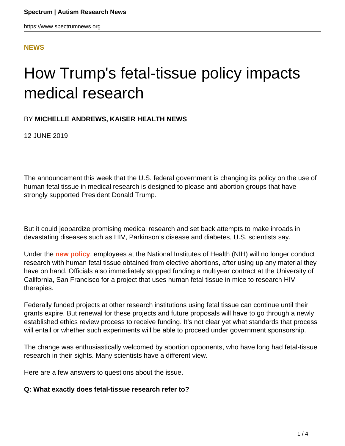## **[NEWS](HTTPS://WWW.SPECTRUMNEWS.ORG/NEWS/)**

# How Trump's fetal-tissue policy impacts medical research

## BY **MICHELLE ANDREWS, KAISER HEALTH NEWS**

12 JUNE 2019

The announcement this week that the U.S. federal government is changing its policy on the use of human fetal tissue in medical research is designed to please anti-abortion groups that have strongly supported President Donald Trump.

But it could jeopardize promising medical research and set back attempts to make inroads in devastating diseases such as HIV, Parkinson's disease and diabetes, U.S. scientists say.

Under the **[new policy](https://www.hhs.gov/about/news/2019/06/05/statement-from-the-department-of-health-and-human-services.html)**, employees at the National Institutes of Health (NIH) will no longer conduct research with human fetal tissue obtained from elective abortions, after using up any material they have on hand. Officials also immediately stopped funding a multiyear contract at the University of California, San Francisco for a project that uses human fetal tissue in mice to research HIV therapies.

Federally funded projects at other research institutions using fetal tissue can continue until their grants expire. But renewal for these projects and future proposals will have to go through a newly established ethics review process to receive funding. It's not clear yet what standards that process will entail or whether such experiments will be able to proceed under government sponsorship.

The change was enthusiastically welcomed by abortion opponents, who have long had fetal-tissue research in their sights. Many scientists have a different view.

Here are a few answers to questions about the issue.

#### **Q: What exactly does fetal-tissue research refer to?**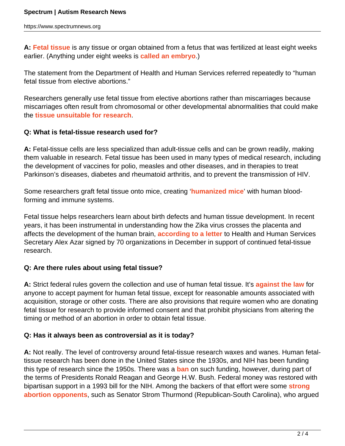**A: [Fetal tissue](https://fas.org/sgp/crs/misc/R44129.pdf)** is any tissue or organ obtained from a fetus that was fertilized at least eight weeks earlier. (Anything under eight weeks is **[called an embryo](https://www.medicinenet.com/embryo_vs_fetus_differences_week-by-week/article.htm#what_is_an_embryo)**.)

The statement from the Department of Health and Human Services referred repeatedly to "human fetal tissue from elective abortions."

Researchers generally use fetal tissue from elective abortions rather than miscarriages because miscarriages often result from chromosomal or other developmental abnormalities that could make the **[tissue unsuitable for research](http://www.isscr.org/docs/default-source/policy-documents/fetal-tissue-research-coalition-letter-to-azar-12-21-18final.pdf?sfvrsn=2)**.

## **Q: What is fetal-tissue research used for?**

**A:** Fetal-tissue cells are less specialized than adult-tissue cells and can be grown readily, making them valuable in research. Fetal tissue has been used in many types of medical research, including the development of vaccines for polio, measles and other diseases, and in therapies to treat Parkinson's diseases, diabetes and rheumatoid arthritis, and to prevent the transmission of HIV.

Some researchers graft fetal tissue onto mice, creating '**[humanized mice](https://www.ncbi.nlm.nih.gov/pmc/articles/PMC5280554/)**' with human bloodforming and immune systems.

Fetal tissue helps researchers learn about birth defects and human tissue development. In recent years, it has been instrumental in understanding how the Zika virus crosses the placenta and affects the development of the human brain, **[according to a letter](http://www.isscr.org/docs/default-source/policy-documents/fetal-tissue-research-coalition-letter-to-azar-12-21-18final.pdf?sfvrsn=2)** to Health and Human Services Secretary Alex Azar signed by 70 organizations in December in support of continued fetal-tissue research.

## **Q: Are there rules about using fetal tissue?**

**A:** Strict federal rules govern the collection and use of human fetal tissue. It's **[against the law](https://fas.org/sgp/crs/misc/R44129.pdf)** for anyone to accept payment for human fetal tissue, except for reasonable amounts associated with acquisition, storage or other costs. There are also provisions that require women who are donating fetal tissue for research to provide informed consent and that prohibit physicians from altering the timing or method of an abortion in order to obtain fetal tissue.

#### **Q: Has it always been as controversial as it is today?**

**A:** Not really. The level of controversy around fetal-tissue research waxes and wanes. Human fetaltissue research has been done in the United States since the 1930s, and NIH has been funding this type of research since the 1950s. There was a **[ban](https://www.nytimes.com/1994/01/05/us/grant-for-fetal-tissue-study-is-first-since-ban-was-lifted.html?module=inline)** on such funding, however, during part of the terms of Presidents Ronald Reagan and George H.W. Bush. Federal money was restored with bipartisan support in a 1993 bill for the NIH. Among the backers of that effort were some **[strong](https://www.guttmacher.org/gpr/2016/fetal-tissue-research-weapon-and-casualty-war-against-abortion) [abortion opponents](https://www.guttmacher.org/gpr/2016/fetal-tissue-research-weapon-and-casualty-war-against-abortion)**, such as Senator Strom Thurmond (Republican-South Carolina), who argued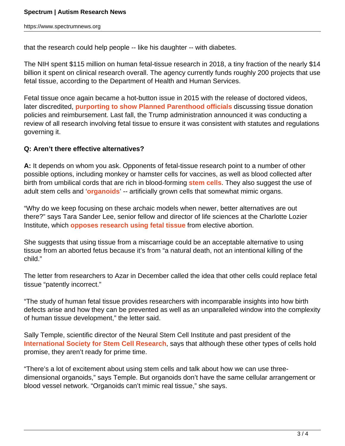that the research could help people -- like his daughter -- with diabetes.

The NIH spent \$115 million on human fetal-tissue research in 2018, a tiny fraction of the nearly \$14 billion it spent on clinical research overall. The agency currently funds roughly 200 projects that use fetal tissue, according to the Department of Health and Human Services.

Fetal tissue once again became a hot-button issue in 2015 with the release of doctored videos, later discredited, **[purporting to show Planned Parenthood officials](https://khn.org/news/fetal-tissue-attack-is-latest-tactic-in-long-gop-fight-against-planned-parenthood/)** discussing tissue donation policies and reimbursement. Last fall, the Trump administration announced it was conducting a review of all research involving fetal tissue to ensure it was consistent with statutes and regulations governing it.

#### **Q: Aren't there effective alternatives?**

**A:** It depends on whom you ask. Opponents of fetal-tissue research point to a number of other possible options, including monkey or hamster cells for vaccines, as well as blood collected after birth from umbilical cords that are rich in blood-forming **[stem cells](https://www.fda.gov/consumers/consumer-updates/cord-blood-what-you-need-know)**. They also suggest the use of adult stem cells and '**[organoids](https://hsci.harvard.edu/organoids)**' -- artificially grown cells that somewhat mimic organs.

"Why do we keep focusing on these archaic models when newer, better alternatives are out there?" says Tara Sander Lee, senior fellow and director of life sciences at the Charlotte Lozier Institute, which **[opposes research using fetal tissue](https://lozierinstitute.org/major-pro-life-victory-hhs-cancels-huge-contract-for-taxpayer-funded-experimentation-with-body-parts-of-aborted-babies-announces-new-approach/)** from elective abortion.

She suggests that using tissue from a miscarriage could be an acceptable alternative to using tissue from an aborted fetus because it's from "a natural death, not an intentional killing of the child."

The letter from researchers to Azar in December called the idea that other cells could replace fetal tissue "patently incorrect."

"The study of human fetal tissue provides researchers with incomparable insights into how birth defects arise and how they can be prevented as well as an unparalleled window into the complexity of human tissue development," the letter said.

Sally Temple, scientific director of the Neural Stem Cell Institute and past president of the **[International Society for Stem Cell Research](http://www.isscr.org/meetings-events/annual-meetings/isscr-annual-meeting-2019/media/media-resources/press-releases-advisories/2019/06/05/isscr-opposes-health-and-human-services-policy-restricting-fetal-tissue-research)**, says that although these other types of cells hold promise, they aren't ready for prime time.

"There's a lot of excitement about using stem cells and talk about how we can use threedimensional organoids," says Temple. But organoids don't have the same cellular arrangement or blood vessel network. "Organoids can't mimic real tissue," she says.